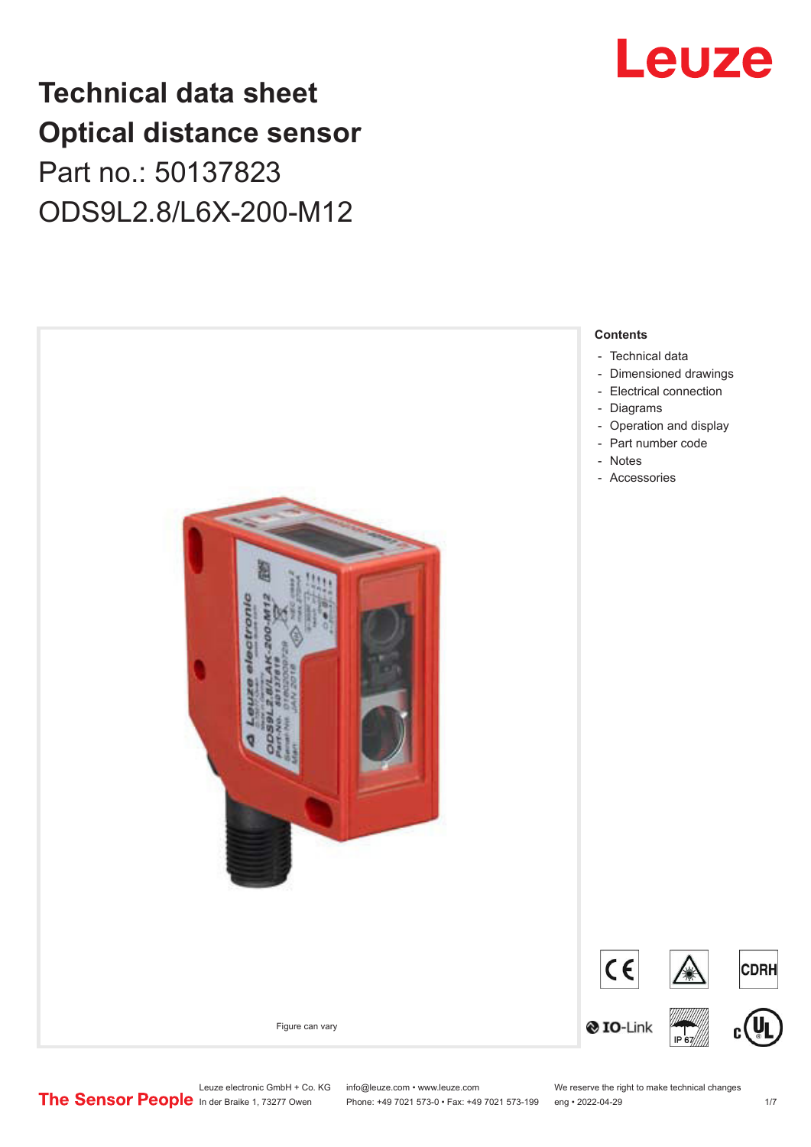## **Technical data sheet Optical distance sensor** Part no.: 50137823 ODS9L2.8/L6X-200-M12





Leuze electronic GmbH + Co. KG info@leuze.com • www.leuze.com We reserve the right to make technical changes<br> **The Sensor People** in der Braike 1, 73277 Owen Phone: +49 7021 573-0 • Fax: +49 7021 573-199 eng • 2022-04-29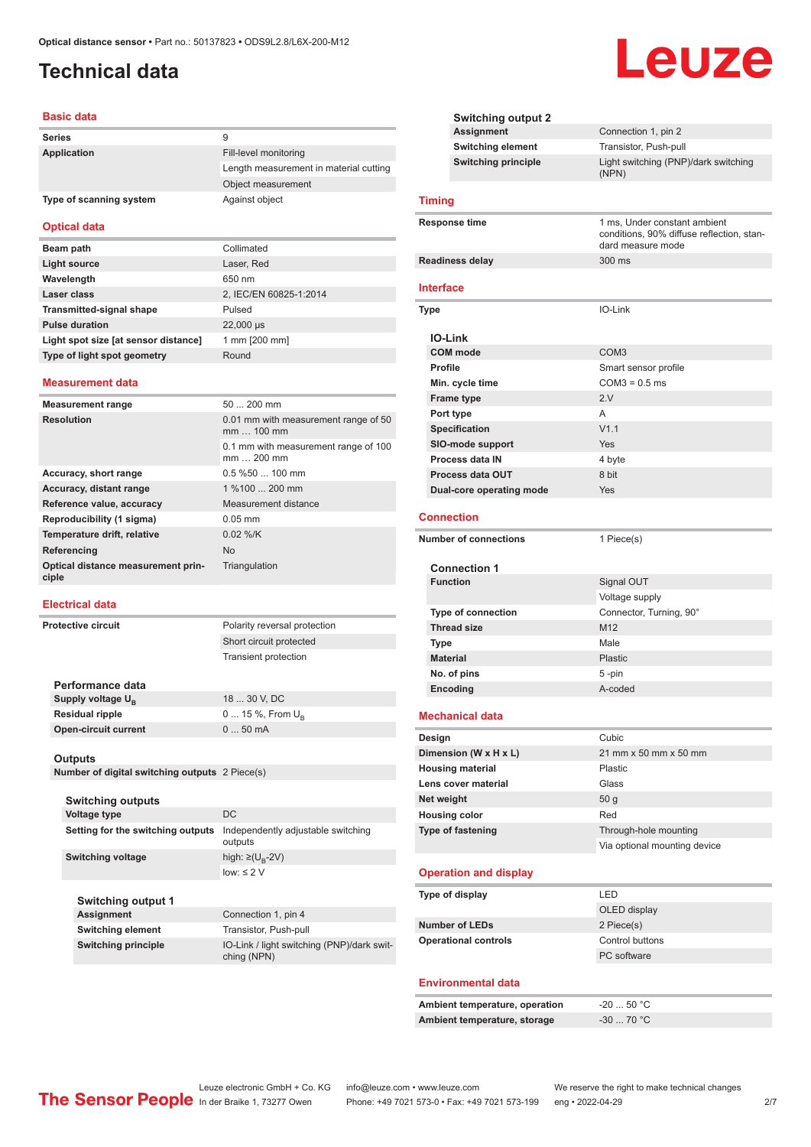## <span id="page-1-0"></span>**Technical data**

#### **Basic data**

| <b>Series</b>           | 9                                      |
|-------------------------|----------------------------------------|
| Application             | Fill-level monitoring                  |
|                         | Length measurement in material cutting |
|                         | Object measurement                     |
| Type of scanning system | Against object                         |

#### **Optical data**

| Beam path                            | Collimated             |
|--------------------------------------|------------------------|
| Light source                         | Laser, Red             |
| Wavelength                           | 650 nm                 |
| Laser class                          | 2, IEC/EN 60825-1:2014 |
| <b>Transmitted-signal shape</b>      | Pulsed                 |
| <b>Pulse duration</b>                | 22,000 µs              |
| Light spot size [at sensor distance] | 1 mm [200 mm]          |
| Type of light spot geometry          | Round                  |
|                                      |                        |

#### **Measurement data**

| <b>Measurement range</b>                    | $50200$ mm                                         |
|---------------------------------------------|----------------------------------------------------|
| <b>Resolution</b>                           | 0.01 mm with measurement range of 50<br>mm  100 mm |
|                                             | 0.1 mm with measurement range of 100<br>mm  200 mm |
| Accuracy, short range                       | $0.5$ %50 $\dots$ 100 mm                           |
| Accuracy, distant range                     | 1 %100  200 mm                                     |
| Reference value, accuracy                   | Measurement distance                               |
| Reproducibility (1 sigma)                   | $0.05$ mm                                          |
| Temperature drift, relative                 | $0.02$ %/K                                         |
| Referencing                                 | <b>No</b>                                          |
| Optical distance measurement prin-<br>ciple | Triangulation                                      |

#### **Electrical data**

**Protective circuit** Polarity reversal protection

|                               | Short circuit protected |
|-------------------------------|-------------------------|
|                               | Transient protection    |
|                               |                         |
| Performance data              |                         |
| Supply voltage U <sub>p</sub> | 18  30 V, DC            |

**Outputs Number of digital switching outputs** 2 Piece(s)

**Residual ripple** 0 ... 15 %, From U<sub>B</sub> **Open-circuit current** 0 ... 50 mA

#### **Switching outputs**

| <b>Voltage type</b>               | DC.                                           |
|-----------------------------------|-----------------------------------------------|
| Setting for the switching outputs | Independently adjustable switching<br>outputs |
| Switching voltage                 | high: $\geq$ (U <sub>p</sub> -2V)             |
|                                   | $low: \leq 2$ V                               |
|                                   |                                               |

**Switching output 1 Switching element** Transistor, Push-pull

**Connection 1, pin 4 Switching principle** IO-Link / light switching (PNP)/dark switching (NPN)

|--|

|                  | <b>Switching output 2</b>                        |                                                                                                |
|------------------|--------------------------------------------------|------------------------------------------------------------------------------------------------|
|                  | <b>Assignment</b>                                | Connection 1, pin 2                                                                            |
|                  | Switching element                                | Transistor, Push-pull                                                                          |
|                  | <b>Switching principle</b>                       | Light switching (PNP)/dark switching<br>(NPN)                                                  |
| <b>Timing</b>    |                                                  |                                                                                                |
|                  | Response time                                    | 1 ms, Under constant ambient<br>conditions, 90% diffuse reflection, stan-<br>dard measure mode |
|                  | <b>Readiness delay</b>                           | 300 ms                                                                                         |
| <b>Interface</b> |                                                  |                                                                                                |
| Type             |                                                  | IO-Link                                                                                        |
| <b>IO-Link</b>   |                                                  |                                                                                                |
|                  | <b>COM</b> mode                                  | COM <sub>3</sub>                                                                               |
| <b>Profile</b>   |                                                  | Smart sensor profile                                                                           |
|                  | Min. cycle time                                  | $COM3 = 0.5$ ms<br>2.V                                                                         |
|                  | <b>Frame type</b>                                | A                                                                                              |
| Port type        |                                                  | V1.1                                                                                           |
|                  | <b>Specification</b><br><b>SIO-mode support</b>  | Yes                                                                                            |
|                  | Process data IN                                  | 4 byte                                                                                         |
|                  | <b>Process data OUT</b>                          | 8 bit                                                                                          |
|                  | Dual-core operating mode                         | Yes                                                                                            |
|                  |                                                  |                                                                                                |
|                  | <b>Connection</b>                                |                                                                                                |
|                  | <b>Number of connections</b>                     | 1 Piece(s)                                                                                     |
|                  | <b>Connection 1</b>                              |                                                                                                |
| <b>Function</b>  |                                                  | Signal OUT                                                                                     |
|                  |                                                  | Voltage supply                                                                                 |
|                  | <b>Type of connection</b><br><b>Thread size</b>  | Connector, Turning, 90°<br>M12                                                                 |
| <b>Type</b>      |                                                  | Male                                                                                           |
| <b>Material</b>  |                                                  | <b>Plastic</b>                                                                                 |
|                  | No. of pins                                      | 5-pin                                                                                          |
|                  | Encoding                                         | A-coded                                                                                        |
|                  |                                                  |                                                                                                |
|                  | <b>Mechanical data</b>                           |                                                                                                |
| Design           |                                                  | Cubic                                                                                          |
|                  | Dimension (W x H x L)                            | 21 mm x 50 mm x 50 mm                                                                          |
|                  | <b>Housing material</b>                          | Plastic                                                                                        |
|                  | Lens cover material                              | Glass                                                                                          |
| Net weight       |                                                  | 50 <sub>g</sub><br>Red                                                                         |
|                  | <b>Housing color</b><br><b>Type of fastening</b> | Through-hole mounting                                                                          |
|                  |                                                  | Via optional mounting device                                                                   |
|                  | <b>Operation and display</b>                     |                                                                                                |
|                  | Type of display                                  | LED                                                                                            |
|                  |                                                  | OLED display                                                                                   |
|                  | <b>Number of LEDs</b>                            | 2 Piece(s)                                                                                     |
|                  | <b>Operational controls</b>                      | Control buttons                                                                                |
|                  |                                                  | PC software                                                                                    |
|                  |                                                  |                                                                                                |
|                  | <b>Environmental data</b>                        |                                                                                                |
|                  | Ambient temperature, operation                   | $-2050 °C$                                                                                     |

| Ambient temperature, storage<br>$-30$ 70 °C $^{\circ}$ |  |
|--------------------------------------------------------|--|

Leuze electronic GmbH + Co. KG info@leuze.com • www.leuze.com We reserve the right to make technical changes<br>
The Sensor People in der Braike 1, 73277 Owen Phone: +49 7021 573-0 • Fax: +49 7021 573-199 eng • 2022-04-29 Phone: +49 7021 573-0 • Fax: +49 7021 573-199 eng • 2022-04-29 27

i.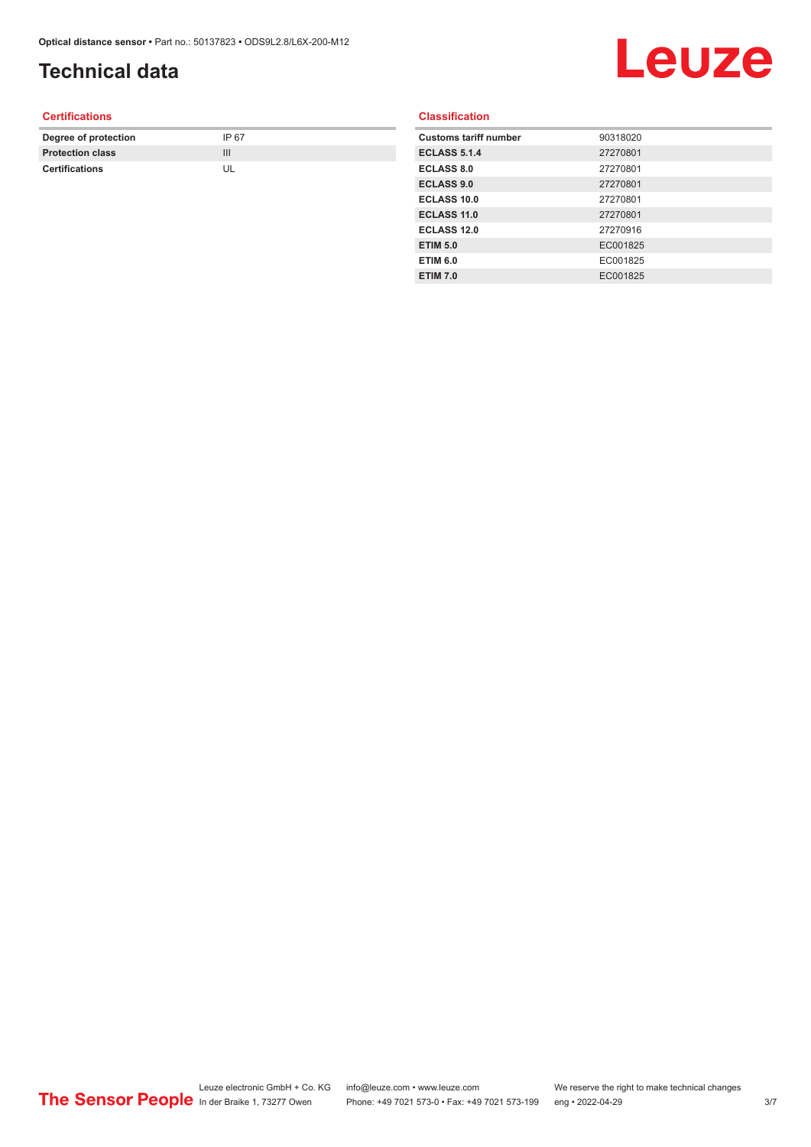## **Technical data**

# Leuze

#### **Certifications**

| Degree of protection    | IP 67 |
|-------------------------|-------|
| <b>Protection class</b> | Ш     |
| <b>Certifications</b>   |       |

#### **Classification**

| <b>Customs tariff number</b> | 90318020 |
|------------------------------|----------|
| <b>ECLASS 5.1.4</b>          | 27270801 |
| <b>ECLASS 8.0</b>            | 27270801 |
| <b>ECLASS 9.0</b>            | 27270801 |
| <b>ECLASS 10.0</b>           | 27270801 |
| <b>ECLASS 11.0</b>           | 27270801 |
| ECLASS 12.0                  | 27270916 |
| <b>ETIM 5.0</b>              | EC001825 |
| <b>ETIM 6.0</b>              | EC001825 |
| <b>ETIM 7.0</b>              | EC001825 |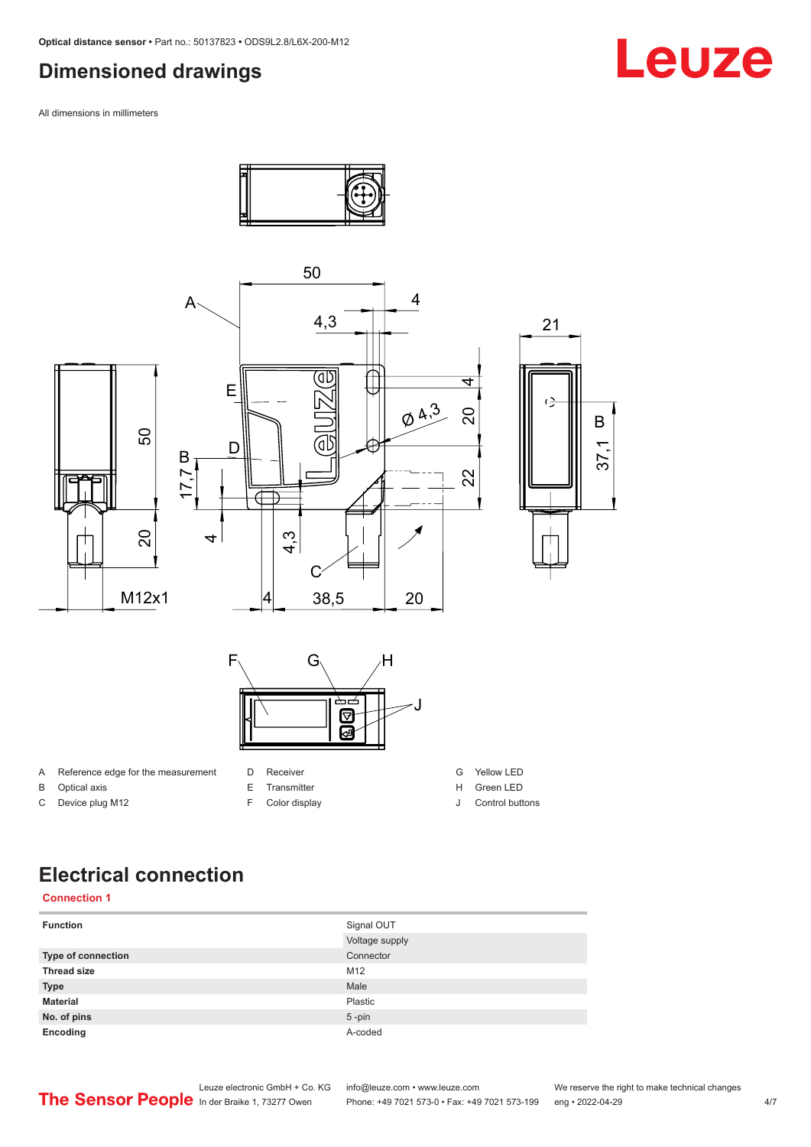#### <span id="page-3-0"></span>**Dimensioned drawings**

All dimensions in millimeters



C Device plug M12

F Color display

J Control buttons

### **Electrical connection**

#### **Connection 1**

| <b>Function</b>           | Signal OUT     |
|---------------------------|----------------|
|                           | Voltage supply |
| <b>Type of connection</b> | Connector      |
| <b>Thread size</b>        | M12            |
| <b>Type</b>               | Male           |
| <b>Material</b>           | Plastic        |
| No. of pins               | $5$ -pin       |
| Encoding                  | A-coded        |



Phone: +49 7021 573-0 • Fax: +49 7021 573-199 eng • 2022-04-29 **Face: 1023** 4/7

## Leuze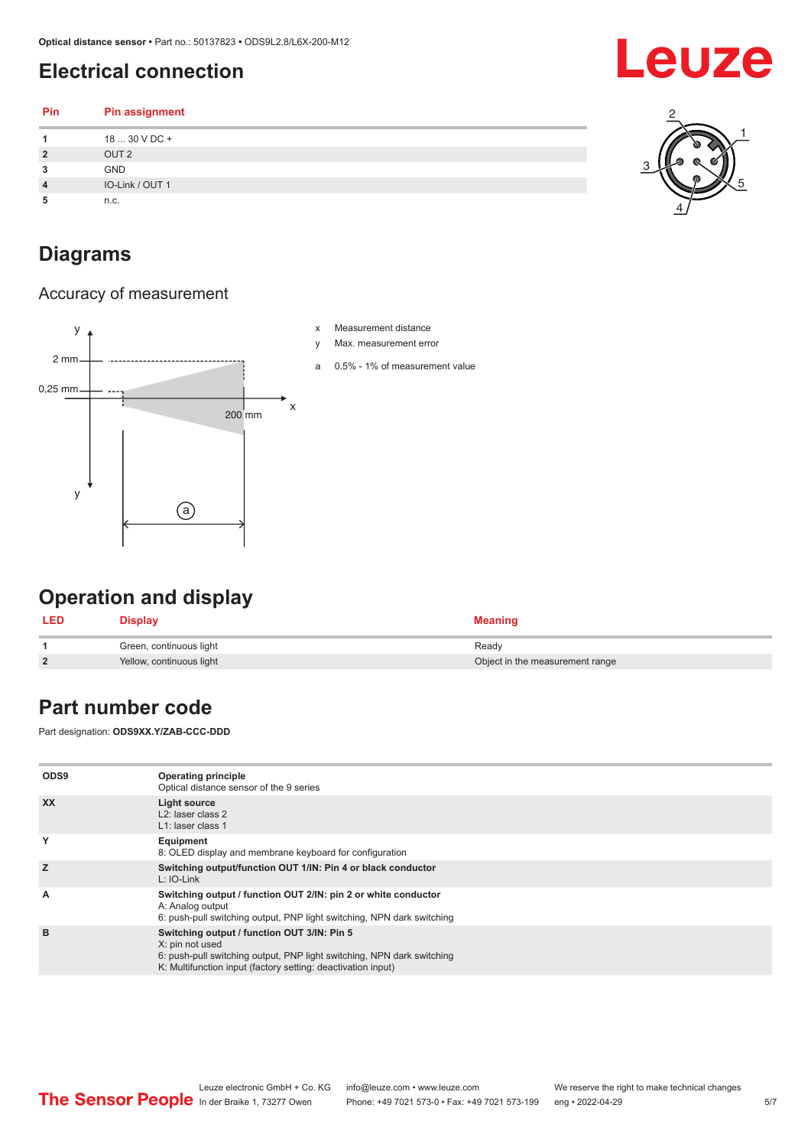### <span id="page-4-0"></span>**Electrical connection**

| Pin            | <b>Pin assignment</b> |   |
|----------------|-----------------------|---|
|                | 18  30 V DC +         |   |
| $\overline{2}$ | OUT <sub>2</sub>      | Ø |
| 3              | <b>GND</b>            |   |
| 4              | IO-Link / OUT 1       |   |
| 5              | n.c.                  | 4 |

### **Diagrams**

#### Accuracy of measurement



## **Operation and display**

| <b>LED</b> | Display                  | <b>Meaning</b>                  |
|------------|--------------------------|---------------------------------|
|            | Green, continuous light  | Ready                           |
| <u>?</u>   | Yellow, continuous light | Object in the measurement range |

#### **Part number code**

Part designation: **ODS9XX.Y/ZAB-CCC-DDD**

| ODS9      | Operating principle<br>Optical distance sensor of the 9 series                                                                                                                                           |
|-----------|----------------------------------------------------------------------------------------------------------------------------------------------------------------------------------------------------------|
| <b>XX</b> | Light source<br>$L2$ : laser class 2<br>L1: laser class 1                                                                                                                                                |
| Y         | Equipment<br>8: OLED display and membrane keyboard for configuration                                                                                                                                     |
| Z         | Switching output/function OUT 1/IN: Pin 4 or black conductor<br>$L: IO-Link$                                                                                                                             |
| A         | Switching output / function OUT 2/IN: pin 2 or white conductor<br>A: Analog output<br>6: push-pull switching output, PNP light switching, NPN dark switching                                             |
| B         | Switching output / function OUT 3/IN: Pin 5<br>X: pin not used<br>6: push-pull switching output, PNP light switching, NPN dark switching<br>K: Multifunction input (factory setting: deactivation input) |



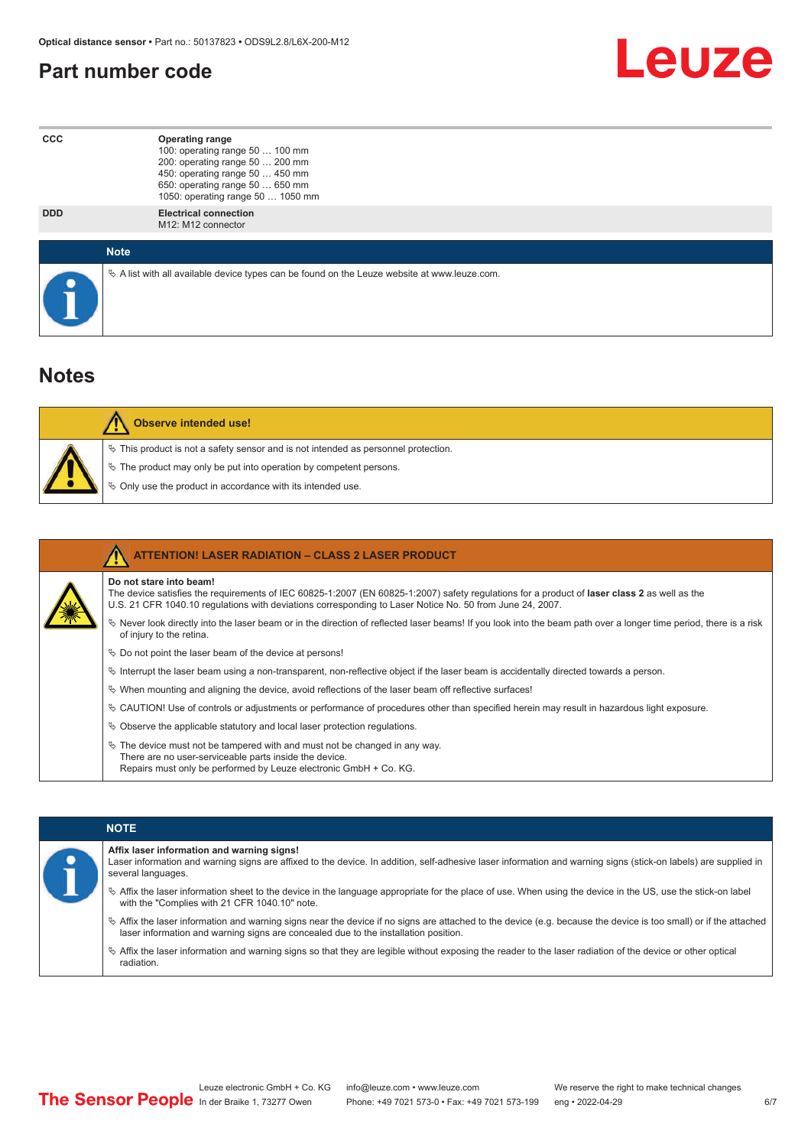#### <span id="page-5-0"></span>**Part number code**



| <b>CCC</b> | <b>Operating range</b><br>100: operating range 50  100 mm<br>200: operating range 50  200 mm<br>450: operating range 50  450 mm<br>650: operating range 50  650 mm<br>1050: operating range 50  1050 mm |
|------------|---------------------------------------------------------------------------------------------------------------------------------------------------------------------------------------------------------|
| <b>DDD</b> | <b>Electrical connection</b><br>M12: M12 connector                                                                                                                                                      |
|            | <b>Note</b>                                                                                                                                                                                             |
|            | $\&$ A list with all available device types can be found on the Leuze website at www.leuze.com.                                                                                                         |

#### **Notes**

| <b>Observe intended use!</b>                                                                                                                                                                                                  |
|-------------------------------------------------------------------------------------------------------------------------------------------------------------------------------------------------------------------------------|
| $\%$ This product is not a safety sensor and is not intended as personnel protection.<br>$\&$ The product may only be put into operation by competent persons.<br>♦ Only use the product in accordance with its intended use. |

| <b>ATTENTION! LASER RADIATION - CLASS 2 LASER PRODUCT</b>                                                                                                                                                                                                                           |
|-------------------------------------------------------------------------------------------------------------------------------------------------------------------------------------------------------------------------------------------------------------------------------------|
| Do not stare into beam!<br>The device satisfies the requirements of IEC 60825-1:2007 (EN 60825-1:2007) safety regulations for a product of laser class 2 as well as the<br>U.S. 21 CFR 1040.10 regulations with deviations corresponding to Laser Notice No. 50 from June 24, 2007. |
| $\&$ Never look directly into the laser beam or in the direction of reflected laser beams! If you look into the beam path over a longer time period, there is a risk<br>of injury to the retina.                                                                                    |
| $\%$ Do not point the laser beam of the device at persons!                                                                                                                                                                                                                          |
| $\%$ Interrupt the laser beam using a non-transparent, non-reflective object if the laser beam is accidentally directed towards a person.                                                                                                                                           |
| $\%$ When mounting and aligning the device, avoid reflections of the laser beam off reflective surfaces!                                                                                                                                                                            |
| $\&$ CAUTION! Use of controls or adjustments or performance of procedures other than specified herein may result in hazardous light exposure.                                                                                                                                       |
| $\&$ Observe the applicable statutory and local laser protection requisitions.                                                                                                                                                                                                      |
| $\&$ The device must not be tampered with and must not be changed in any way.<br>There are no user-serviceable parts inside the device.<br>Repairs must only be performed by Leuze electronic GmbH + Co. KG.                                                                        |

|  | <b>NOTE</b>                                                                                                                                                                                                                                                         |
|--|---------------------------------------------------------------------------------------------------------------------------------------------------------------------------------------------------------------------------------------------------------------------|
|  | Affix laser information and warning signs!<br>Laser information and warning signs are affixed to the device. In addition, self-adhesive laser information and warning signs (stick-on labels) are supplied in<br>several languages.                                 |
|  | the laser information sheet to the device in the language appropriate for the place of use. When using the device in the US, use the stick-on label<br>with the "Complies with 21 CFR 1040.10" note.                                                                |
|  | $\frac{1}{2}$ Affix the laser information and warning signs near the device if no signs are attached to the device (e.g. because the device is too small) or if the attached<br>laser information and warning signs are concealed due to the installation position. |
|  | $\%$ Affix the laser information and warning signs so that they are legible without exposing the reader to the laser radiation of the device or other optical<br>radiation.                                                                                         |